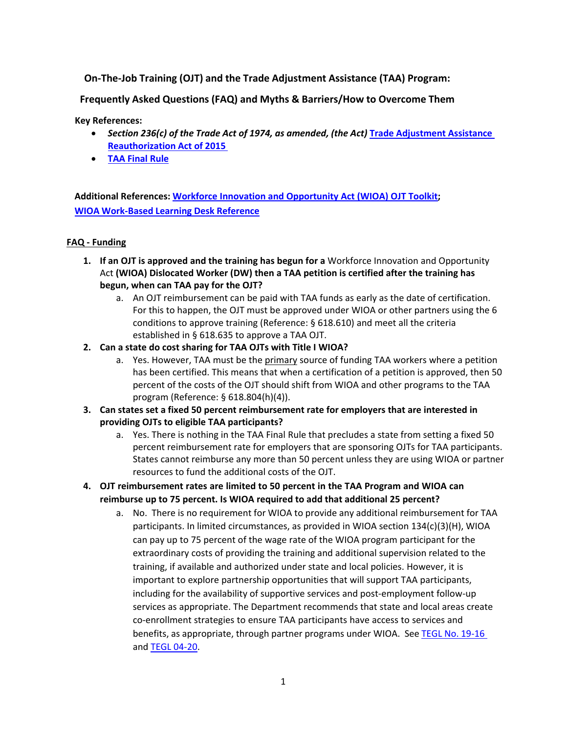# **On-The-Job Training (OJT) and the Trade Adjustment Assistance (TAA) Program:**

**Frequently Asked Questions (FAQ) and Myths & Barriers/How to Overcome Them**

#### **Key References:**

- *Section 236(c) of the Trade Act of 1974, as amended, (the Act)* **Trade [Adjustment Assistance](https://www.doleta.gov/tradeact/pdf/Unofficial_TEGL_05-15_Attachment2_Acc.pdf)  [Reauthorization](https://www.doleta.gov/tradeact/pdf/Unofficial_TEGL_05-15_Attachment2_Acc.pdf) Act of 2015**
- **[TAA Final Rule](https://www.federalregister.gov/documents/2020/08/21/2020-13802/trade-adjustment-assistance-for-workers)**

**Additional References: [Workforce Innovation and Opportunity Act \(WIOA\) OJT Toolkit;](https://ion.workforcegps.org/resources/2017/12/01/11/19/On-the-Job-Training-Toolkit) [WIOA Work-Based](https://ion.workforcegps.org/resources/2017/07/14/09/08/Work-Based-Learning-Desk-Reference) Learning Desk Reference**

#### **FAQ - Funding**

- **1. If an OJT is approved and the training has begun for a** Workforce Innovation and Opportunity Act **(WIOA) Dislocated Worker (DW) then a TAA petition is certified after the training has begun, when can TAA pay for the OJT?**
	- a. An OJT reimbursement can be paid with TAA funds as early as the date of certification. For this to happen, the OJT must be approved under WIOA or other partners using the 6 conditions to approve training (Reference: § 618.610) and meet all the criteria established in § 618.635 to approve a TAA OJT.
- **2. Can a state do cost sharing for TAA OJTs with Title I WIOA?**
	- a. Yes. However, TAA must be the primary source of funding TAA workers where a petition has been certified. This means that when a certification of a petition is approved, then 50 percent of the costs of the OJT should shift from WIOA and other programs to the TAA program (Reference: § 618.804(h)(4)).
- **3. Can states set a fixed 50 percent reimbursement rate for employers that are interested in providing OJTs to eligible TAA participants?** 
	- a. Yes. There is nothing in the TAA Final Rule that precludes a state from setting a fixed 50 percent reimbursement rate for employers that are sponsoring OJTs for TAA participants. States cannot reimburse any more than 50 percent unless they are using WIOA or partner resources to fund the additional costs of the OJT.
- **4. OJT reimbursement rates are limited to 50 percent in the TAA Program and WIOA can reimburse up to 75 percent. Is WIOA required to add that additional 25 percent?**
	- a. No. There is no requirement for WIOA to provide any additional reimbursement for TAA participants. In limited circumstances, as provided in WIOA section 134(c)(3)(H), WIOA can pay up to 75 percent of the wage rate of the WIOA program participant for the extraordinary costs of providing the training and additional supervision related to the training, if available and authorized under state and local policies. However, it is important to explore partnership opportunities that will support TAA participants, including for the availability of supportive services and post-employment follow-up services as appropriate. The Department recommends that state and local areas create co-enrollment strategies to ensure TAA participants have access to services and benefits, as appropriate, through partner programs under WIOA. See TEGL No. [19-16](https://wdr.doleta.gov/directives/corr_doc.cfm?DOCN=3851) and [TEGL 04-20.](https://wdr.doleta.gov/directives/corr_doc.cfm?docn=6273)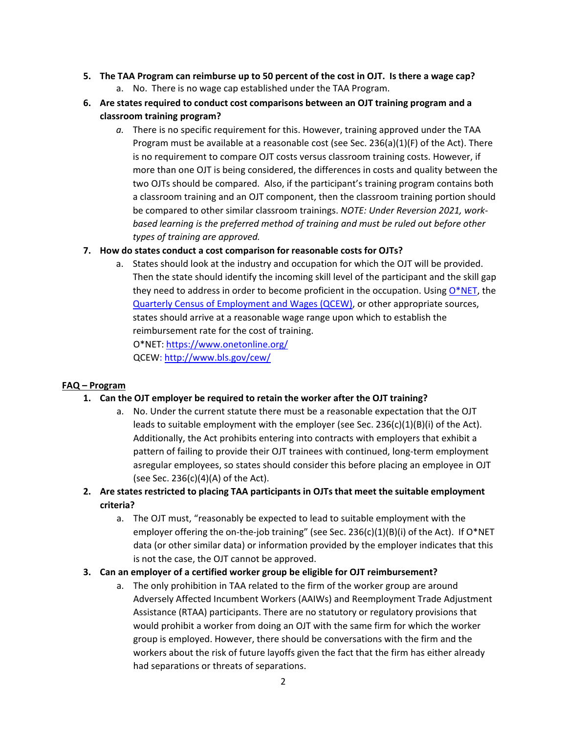- **5. The TAA Program can reimburse up to 50 percent of the cost in OJT. Is there a wage cap?** a. No. There is no wage cap established under the TAA Program.
- **6. Are states required to conduct cost comparisons between an OJT training program and a classroom training program?**
	- *a.* There is no specific requirement for this. However, training approved under the TAA Program must be available at a reasonable cost (see Sec. 236(a)(1)(F) of the Act). There is no requirement to compare OJT costs versus classroom training costs. However, if more than one OJT is being considered, the differences in costs and quality between the two OJTs should be compared. Also, if the participant's training program contains both a classroom training and an OJT component, then the classroom training portion should be compared to other similar classroom trainings. *NOTE: Under Reversion 2021, workbased learning is the preferred method of training and must be ruled out before other types of training are approved.*

### **7. How do states conduct a cost comparison for reasonable costs for OJTs?**

a. States should look at the industry and occupation for which the OJT will be provided. Then the state should identify the incoming skill level of the participant and the skill gap they need to address in order to become proficient in the occupation. Using  $O^*NET$ , the Quarterly Census of Employment and Wages (QCEW), or other appropriate sources, states should arrive at a reasonable wage range upon which to establish the reimbursement rate for the cost of training. O\*NET[: https://www.onetonline.org/](https://www.onetonline.org/) QCEW: http:/[/www.bls.gov/cew/](http://www.bls.gov/cew/)

#### **FAQ – Program**

#### **1. Can the OJT employer be required to retain the worker after the OJT training?**

- a. No. Under the current statute there must be a reasonable expectation that the OJT leads to suitable employment with the employer (see Sec. 236(c)(1)(B)(i) of the Act). Additionally, the Act prohibits entering into contracts with employers that exhibit a pattern of failing to provide their OJT trainees with continued, long-term employment asregular employees, so states should consider this before placing an employee in OJT (see Sec. 236(c)(4)(A) of the Act).
- **2. Are states restricted to placing TAA participants in OJTs that meet the suitable employment criteria?** 
	- a. The OJT must, "reasonably be expected to lead to suitable employment with the employer offering the on-the-job training" (see Sec. 236(c)(1)(B)(i) of the Act). If O\*NET data (or other similar data) or information provided by the employer indicates that this is not the case, the OJT cannot be approved.

#### **3. Can an employer of a certified worker group be eligible for OJT reimbursement?**

a. The only prohibition in TAA related to the firm of the worker group are around Adversely Affected Incumbent Workers (AAIWs) and Reemployment Trade Adjustment Assistance (RTAA) participants. There are no statutory or regulatory provisions that would prohibit a worker from doing an OJT with the same firm for which the worker group is employed. However, there should be conversations with the firm and the workers about the risk of future layoffs given the fact that the firm has either already had separations or threats of separations.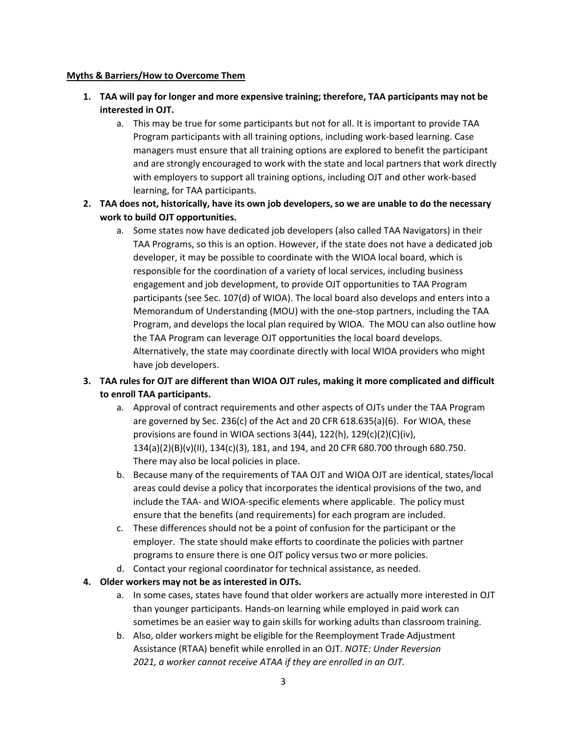#### **Myths & Barriers/How to Overcome Them**

- **1. TAA will pay for longer and more expensive training; therefore, TAA participants may not be interested in OJT.**
	- a. This may be true for some participants but not for all. It is important to provide TAA Program participants with all training options, including work-based learning. Case managers must ensure that all training options are explored to benefit the participant and are strongly encouraged to work with the state and local partners that work directly with employers to support all training options, including OJT and other work-based learning, for TAA participants.
- **2. TAA does not, historically, have its own job developers, so we are unable to do the necessary work to build OJT opportunities.** 
	- a. Some states now have dedicated job developers (also called TAA Navigators) in their TAA Programs, so this is an option. However, if the state does not have a dedicated job developer, it may be possible to coordinate with the WIOA local board, which is responsible for the coordination of a variety of local services, including business engagement and job development, to provide OJT opportunities to TAA Program participants (see Sec. 107(d) of WIOA). The local board also develops and enters into a Memorandum of Understanding (MOU) with the one-stop partners, including the TAA Program, and develops the local plan required by WIOA. The MOU can also outline how the TAA Program can leverage OJT opportunities the local board develops. Alternatively, the state may coordinate directly with local WIOA providers who might have job developers.

# **3. TAA rules for OJT are different than WIOA OJT rules, making it more complicated and difficult to enroll TAA participants.**

- a. Approval of contract requirements and other aspects of OJTs under the TAA Program are governed by Sec. 236(c) of the Act and 20 CFR 618.635(a)(6). For WIOA, these provisions are found in WIOA sections 3(44), 122(h), 129(c)(2)(C)(iv), 134(a)(2)(B)(v)(II), 134(c)(3), 181, and 194, and 20 CFR 680.700 through 680.750. There may also be local policies in place.
- b. Because many of the requirements of TAA OJT and WIOA OJT are identical, states/local areas could devise a policy that incorporates the identical provisions of the two, and include the TAA- and WIOA-specific elements where applicable. The policy must ensure that the benefits (and requirements) for each program are included.
- c. These differences should not be a point of confusion for the participant or the employer. The state should make efforts to coordinate the policies with partner programs to ensure there is one OJT policy versus two or more policies.
- d. Contact your regional coordinator for technical assistance, as needed.

## **4. Older workers may not be as interested in OJTs.**

- a. In some cases, states have found that older workers are actually more interested in OJT than younger participants. Hands-on learning while employed in paid work can sometimes be an easier way to gain skills for working adults than classroom training.
- b. Also, older workers might be eligible for the Reemployment Trade Adjustment Assistance (RTAA) benefit while enrolled in an OJT. *NOTE: Under Reversion 2021, a worker cannot receive ATAA if they are enrolled in an OJT.*